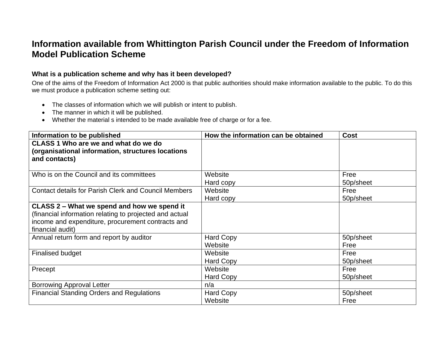## **Information available from Whittington Parish Council under the Freedom of Information Model Publication Scheme**

## **What is a publication scheme and why has it been developed?**

One of the aims of the Freedom of Information Act 2000 is that public authorities should make information available to the public. To do this we must produce a publication scheme setting out:

- The classes of information which we will publish or intent to publish.
- The manner in which it will be published.
- Whether the material s intended to be made available free of charge or for a fee.

| Information to be published                                                                                                                                                     | How the information can be obtained | <b>Cost</b>       |
|---------------------------------------------------------------------------------------------------------------------------------------------------------------------------------|-------------------------------------|-------------------|
| CLASS 1 Who are we and what do we do<br>(organisational information, structures locations<br>and contacts)                                                                      |                                     |                   |
| Who is on the Council and its committees                                                                                                                                        | Website<br>Hard copy                | Free<br>50p/sheet |
| <b>Contact details for Parish Clerk and Council Members</b>                                                                                                                     | Website<br>Hard copy                | Free<br>50p/sheet |
| CLASS 2 – What we spend and how we spend it<br>(financial information relating to projected and actual<br>income and expenditure, procurement contracts and<br>financial audit) |                                     |                   |
| Annual return form and report by auditor                                                                                                                                        | <b>Hard Copy</b><br>Website         | 50p/sheet<br>Free |
| <b>Finalised budget</b>                                                                                                                                                         | Website<br><b>Hard Copy</b>         | Free<br>50p/sheet |
| Precept                                                                                                                                                                         | Website<br>Hard Copy                | Free<br>50p/sheet |
| <b>Borrowing Approval Letter</b>                                                                                                                                                | n/a                                 |                   |
| <b>Financial Standing Orders and Regulations</b>                                                                                                                                | Hard Copy<br>Website                | 50p/sheet<br>Free |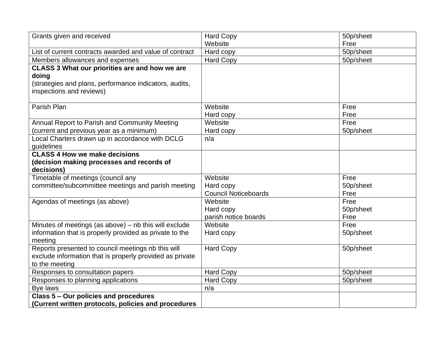| Grants given and received                                | <b>Hard Copy</b>            | 50p/sheet |
|----------------------------------------------------------|-----------------------------|-----------|
|                                                          | Website                     | Free      |
| List of current contracts awarded and value of contract  | Hard copy                   | 50p/sheet |
| Members allowances and expenses                          | <b>Hard Copy</b>            | 50p/sheet |
| <b>CLASS 3 What our priorities are and how we are</b>    |                             |           |
| doing                                                    |                             |           |
| (strategies and plans, performance indicators, audits,   |                             |           |
| inspections and reviews)                                 |                             |           |
|                                                          |                             |           |
| Parish Plan                                              | Website                     | Free      |
|                                                          | Hard copy                   | Free      |
| Annual Report to Parish and Community Meeting            | Website                     | Free      |
| (current and previous year as a minimum)                 | Hard copy                   | 50p/sheet |
| Local Charters drawn up in accordance with DCLG          | n/a                         |           |
| guidelines                                               |                             |           |
| <b>CLASS 4 How we make decisions</b>                     |                             |           |
| (decision making processes and records of                |                             |           |
| decisions)                                               |                             |           |
| Timetable of meetings (council any                       | Website                     | Free      |
| committee/subcommittee meetings and parish meeting       | Hard copy                   | 50p/sheet |
|                                                          | <b>Council Noticeboards</b> | Free      |
| Agendas of meetings (as above)                           | Website                     | Free      |
|                                                          | Hard copy                   | 50p/sheet |
|                                                          | parish notice boards        | Free      |
| Minutes of meetings (as above) - nb this will exclude    | Website                     | Free      |
| information that is properly provided as private to the  | Hard copy                   | 50p/sheet |
| meeting                                                  |                             |           |
| Reports presented to council meetings nb this will       | <b>Hard Copy</b>            | 50p/sheet |
| exclude information that is properly provided as private |                             |           |
| to the meeting                                           |                             |           |
| Responses to consultation papers                         | Hard Copy                   | 50p/sheet |
| Responses to planning applications                       | <b>Hard Copy</b>            | 50p/sheet |
| Bye laws                                                 | n/a                         |           |
| Class 5 - Our policies and procedures                    |                             |           |
| (Current written protocols, policies and procedures      |                             |           |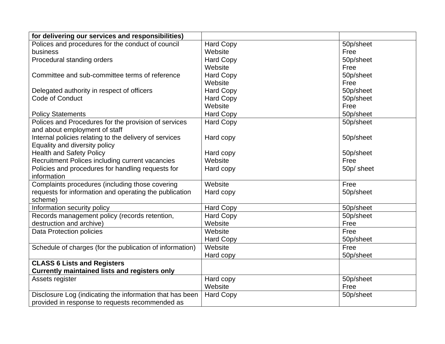| for delivering our services and responsibilities)        |                  |            |
|----------------------------------------------------------|------------------|------------|
| Polices and procedures for the conduct of council        | <b>Hard Copy</b> | 50p/sheet  |
| business                                                 | Website          | Free       |
| Procedural standing orders                               | <b>Hard Copy</b> | 50p/sheet  |
|                                                          | Website          | Free       |
| Committee and sub-committee terms of reference           | <b>Hard Copy</b> | 50p/sheet  |
|                                                          | Website          | Free       |
| Delegated authority in respect of officers               | <b>Hard Copy</b> | 50p/sheet  |
| Code of Conduct                                          | <b>Hard Copy</b> | 50p/sheet  |
|                                                          | Website          | Free       |
| <b>Policy Statements</b>                                 | <b>Hard Copy</b> | 50p/sheet  |
| Polices and Procedures for the provision of services     | <b>Hard Copy</b> | 50p/sheet  |
| and about employment of staff                            |                  |            |
| Internal policies relating to the delivery of services   | Hard copy        | 50p/sheet  |
| Equality and diversity policy                            |                  |            |
| <b>Health and Safety Policy</b>                          | Hard copy        | 50p/sheet  |
| Recruitment Polices including current vacancies          | Website          | Free       |
| Policies and procedures for handling requests for        | Hard copy        | 50p/ sheet |
| information                                              |                  |            |
| Complaints procedures (including those covering          | Website          | Free       |
| requests for information and operating the publication   | Hard copy        | 50p/sheet  |
| scheme)                                                  |                  |            |
| Information security policy                              | <b>Hard Copy</b> | 50p/sheet  |
| Records management policy (records retention,            | <b>Hard Copy</b> | 50p/sheet  |
| destruction and archive)                                 | Website          | Free       |
| Data Protection policies                                 | Website          | Free       |
|                                                          | <b>Hard Copy</b> | 50p/sheet  |
| Schedule of charges (for the publication of information) | Website          | Free       |
|                                                          | Hard copy        | 50p/sheet  |
| <b>CLASS 6 Lists and Registers</b>                       |                  |            |
| <b>Currently maintained lists and registers only</b>     |                  |            |
| Assets register                                          | Hard copy        | 50p/sheet  |
|                                                          | Website          | Free       |
| Disclosure Log (indicating the information that has been | <b>Hard Copy</b> | 50p/sheet  |
| provided in response to requests recommended as          |                  |            |